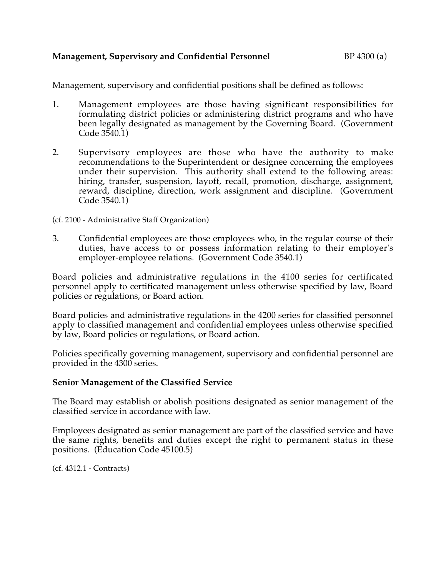## **Management, Supervisory and Confidential Personnel** BP 4300 (a)

Management, supervisory and confidential positions shall be defined as follows:

- 1. Management employees are those having significant responsibilities for formulating district policies or administering district programs and who have been legally designated as management by the Governing Board. (Government Code 3540.1)
- 2. Supervisory employees are those who have the authority to make recommendations to the Superintendent or designee concerning the employees under their supervision. This authority shall extend to the following areas: hiring, transfer, suspension, layoff, recall, promotion, discharge, assignment, reward, discipline, direction, work assignment and discipline. (Government Code 3540.1)

(cf. 2100 - Administrative Staff Organization)

3. Confidential employees are those employees who, in the regular course of their duties, have access to or possess information relating to their employer's employer-employee relations. (Government Code 3540.1)

Board policies and administrative regulations in the 4100 series for certificated personnel apply to certificated management unless otherwise specified by law, Board policies or regulations, or Board action.

Board policies and administrative regulations in the 4200 series for classified personnel apply to classified management and confidential employees unless otherwise specified by law, Board policies or regulations, or Board action.

Policies specifically governing management, supervisory and confidential personnel are provided in the 4300 series.

## **Senior Management of the Classified Service**

The Board may establish or abolish positions designated as senior management of the classified service in accordance with law.

Employees designated as senior management are part of the classified service and have the same rights, benefits and duties except the right to permanent status in these positions. (Education Code 45100.5)

(cf. 4312.1 - Contracts)